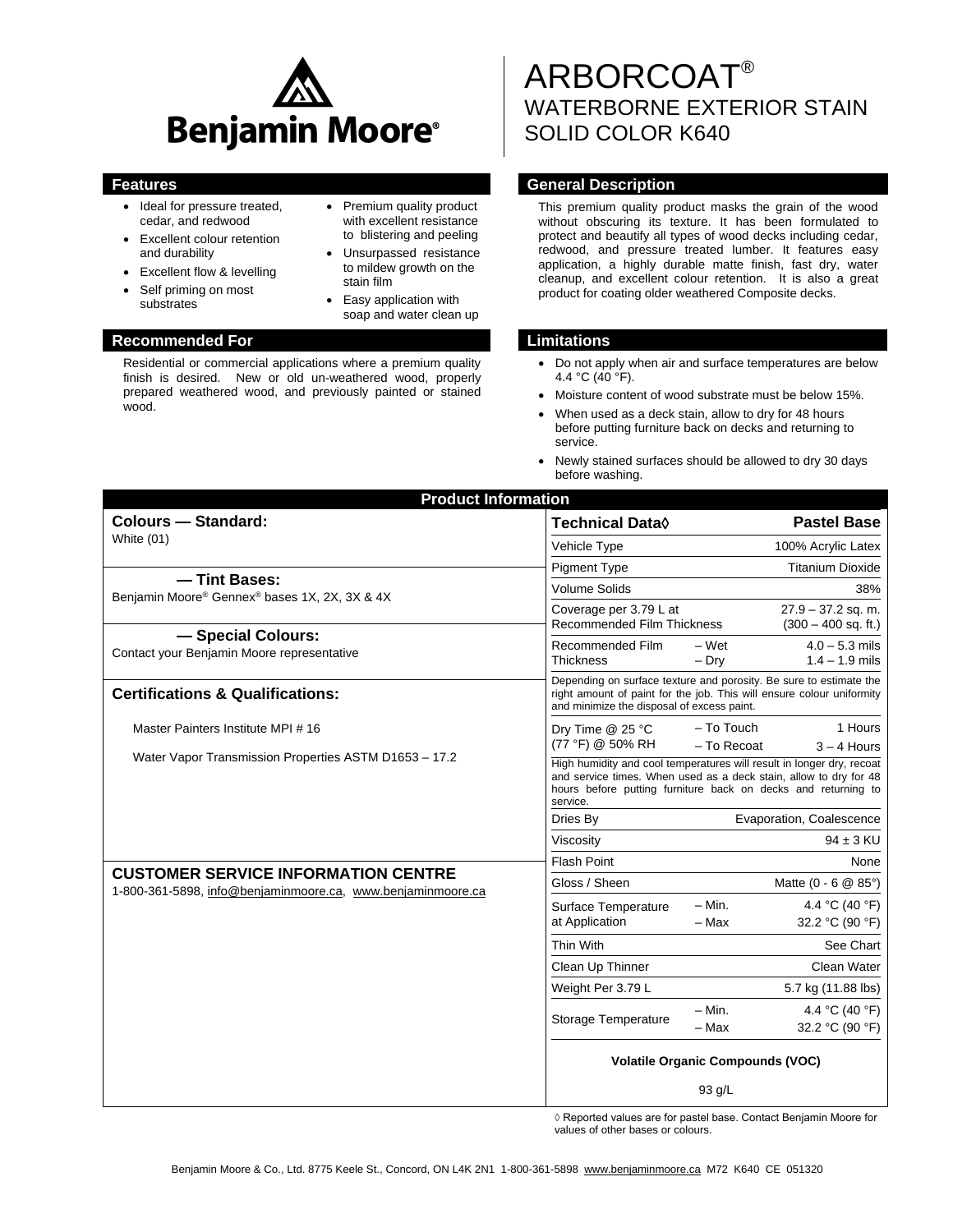

• Premium quality product with excellent resistance to blistering and peeling Unsurpassed resistance to mildew growth on the

• Easy application with soap and water clean up

stain film

- Ideal for pressure treated, cedar, and redwood
- Excellent colour retention and durability
- Excellent flow & levelling
- Self priming on most substrates
- 

#### **Recommended For Limitations**

Residential or commercial applications where a premium quality finish is desired. New or old un-weathered wood, properly prepared weathered wood, and previously painted or stained wood.

# ARBORCOAT® WATERBORNE EXTERIOR STAIN SOLID COLOR K640

### **Features General Description**

This premium quality product masks the grain of the wood without obscuring its texture. It has been formulated to protect and beautify all types of wood decks including cedar, redwood, and pressure treated lumber. It features easy application, a highly durable matte finish, fast dry, water cleanup, and excellent colour retention. It is also a great product for coating older weathered Composite decks.

- Do not apply when air and surface temperatures are below 4.4 °C (40 °F).
- Moisture content of wood substrate must be below 15%.
- When used as a deck stain, allow to dry for 48 hours before putting furniture back on decks and returning to service.
- Newly stained surfaces should be allowed to dry 30 days before washing.

| <b>Product Information</b>                                       |                                                                                                                                                                                                                         |                          |                                               |  |
|------------------------------------------------------------------|-------------------------------------------------------------------------------------------------------------------------------------------------------------------------------------------------------------------------|--------------------------|-----------------------------------------------|--|
| <b>Colours - Standard:</b>                                       | <b>Technical Data</b> ♦                                                                                                                                                                                                 |                          | <b>Pastel Base</b>                            |  |
| White (01)                                                       | Vehicle Type                                                                                                                                                                                                            |                          | 100% Acrylic Latex                            |  |
|                                                                  | <b>Pigment Type</b>                                                                                                                                                                                                     |                          | <b>Titanium Dioxide</b>                       |  |
| -Tint Bases:<br>Benjamin Moore® Gennex® bases 1X, 2X, 3X & 4X    | <b>Volume Solids</b>                                                                                                                                                                                                    |                          | 38%                                           |  |
|                                                                  | Coverage per 3.79 L at<br><b>Recommended Film Thickness</b>                                                                                                                                                             |                          | $27.9 - 37.2$ sq. m.<br>$(300 - 400$ sq. ft.) |  |
| - Special Colours:<br>Contact your Benjamin Moore representative | Recommended Film<br><b>Thickness</b>                                                                                                                                                                                    | – Wet<br>$-$ Dry         | $4.0 - 5.3$ mils<br>$1.4 - 1.9$ mils          |  |
| <b>Certifications &amp; Qualifications:</b>                      | Depending on surface texture and porosity. Be sure to estimate the<br>right amount of paint for the job. This will ensure colour uniformity<br>and minimize the disposal of excess paint.                               |                          |                                               |  |
| Master Painters Institute MPI #16                                | Dry Time @ 25 °C                                                                                                                                                                                                        | – To Touch               | 1 Hours                                       |  |
| Water Vapor Transmission Properties ASTM D1653 - 17.2            | (77 °F) @ 50% RH                                                                                                                                                                                                        | $-$ To Recoat            | $3 - 4$ Hours                                 |  |
|                                                                  | High humidity and cool temperatures will result in longer dry, recoat<br>and service times. When used as a deck stain, allow to dry for 48<br>hours before putting furniture back on decks and returning to<br>service. |                          |                                               |  |
|                                                                  | Dries By                                                                                                                                                                                                                | Evaporation, Coalescence |                                               |  |
|                                                                  | Viscositv                                                                                                                                                                                                               |                          | $94 \pm 3$ KU                                 |  |
| <b>CUSTOMER SERVICE INFORMATION CENTRE</b>                       | <b>Flash Point</b>                                                                                                                                                                                                      |                          | None                                          |  |
| 1-800-361-5898, info@benjaminmoore.ca, www.benjaminmoore.ca      | Gloss / Sheen                                                                                                                                                                                                           |                          | Matte $(0 - 6 \ @ 85^{\circ})$                |  |
|                                                                  | Surface Temperature<br>at Application                                                                                                                                                                                   | $- Min.$<br>$-$ Max      | 4.4 °C (40 °F)<br>32.2 °C (90 °F)             |  |
|                                                                  | Thin With                                                                                                                                                                                                               |                          | See Chart                                     |  |
|                                                                  | Clean Up Thinner                                                                                                                                                                                                        |                          | Clean Water                                   |  |
|                                                                  | Weight Per 3.79 L                                                                                                                                                                                                       |                          | 5.7 kg (11.88 lbs)                            |  |
|                                                                  | Storage Temperature                                                                                                                                                                                                     | $- Min.$<br>$-$ Max      | 4.4 °C (40 °F)<br>32.2 °C (90 °F)             |  |
|                                                                  | <b>Volatile Organic Compounds (VOC)</b>                                                                                                                                                                                 |                          |                                               |  |
|                                                                  |                                                                                                                                                                                                                         | $93$ g/L                 |                                               |  |

◊ Reported values are for pastel base. Contact Benjamin Moore for values of other bases or colours.